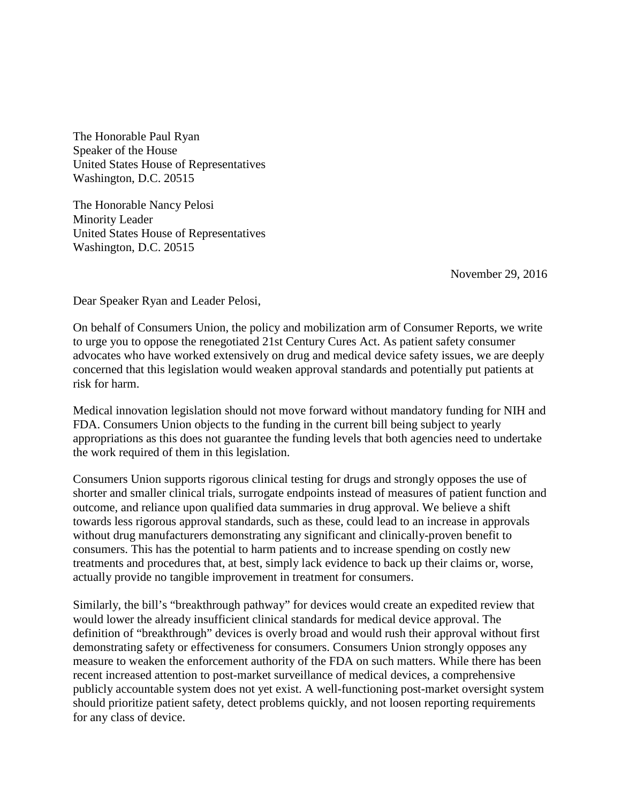The Honorable Paul Ryan Speaker of the House United States House of Representatives Washington, D.C. 20515

The Honorable Nancy Pelosi Minority Leader United States House of Representatives Washington, D.C. 20515

November 29, 2016

Dear Speaker Ryan and Leader Pelosi,

On behalf of Consumers Union, the policy and mobilization arm of Consumer Reports, we write to urge you to oppose the renegotiated 21st Century Cures Act. As patient safety consumer advocates who have worked extensively on drug and medical device safety issues, we are deeply concerned that this legislation would weaken approval standards and potentially put patients at risk for harm.

Medical innovation legislation should not move forward without mandatory funding for NIH and FDA. Consumers Union objects to the funding in the current bill being subject to yearly appropriations as this does not guarantee the funding levels that both agencies need to undertake the work required of them in this legislation.

Consumers Union supports rigorous clinical testing for drugs and strongly opposes the use of shorter and smaller clinical trials, surrogate endpoints instead of measures of patient function and outcome, and reliance upon qualified data summaries in drug approval. We believe a shift towards less rigorous approval standards, such as these, could lead to an increase in approvals without drug manufacturers demonstrating any significant and clinically-proven benefit to consumers. This has the potential to harm patients and to increase spending on costly new treatments and procedures that, at best, simply lack evidence to back up their claims or, worse, actually provide no tangible improvement in treatment for consumers.

Similarly, the bill's "breakthrough pathway" for devices would create an expedited review that would lower the already insufficient clinical standards for medical device approval. The definition of "breakthrough" devices is overly broad and would rush their approval without first demonstrating safety or effectiveness for consumers. Consumers Union strongly opposes any measure to weaken the enforcement authority of the FDA on such matters. While there has been recent increased attention to post-market surveillance of medical devices, a comprehensive publicly accountable system does not yet exist. A well-functioning post-market oversight system should prioritize patient safety, detect problems quickly, and not loosen reporting requirements for any class of device.